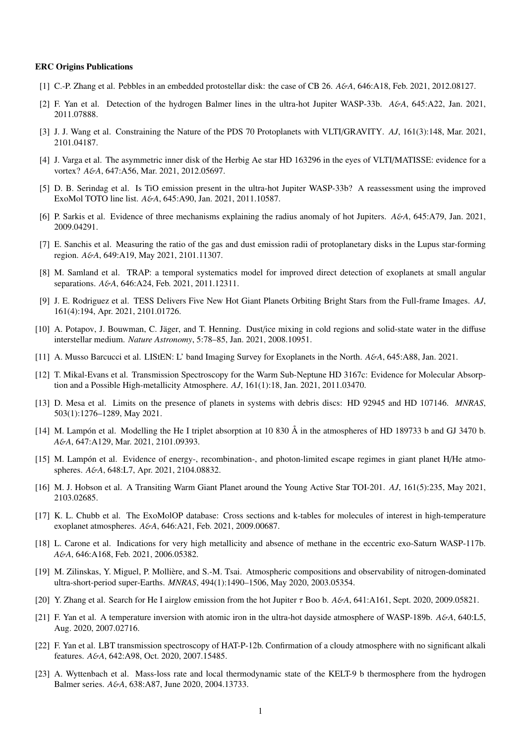## ERC Origins Publications

- [1] C.-P. Zhang et al. Pebbles in an embedded protostellar disk: the case of CB 26. *A*&*A*, 646:A18, Feb. 2021, 2012.08127.
- [2] F. Yan et al. Detection of the hydrogen Balmer lines in the ultra-hot Jupiter WASP-33b. *A*&*A*, 645:A22, Jan. 2021, 2011.07888.
- [3] J. J. Wang et al. Constraining the Nature of the PDS 70 Protoplanets with VLTI/GRAVITY. *AJ*, 161(3):148, Mar. 2021, 2101.04187.
- [4] J. Varga et al. The asymmetric inner disk of the Herbig Ae star HD 163296 in the eyes of VLTI/MATISSE: evidence for a vortex? *A*&*A*, 647:A56, Mar. 2021, 2012.05697.
- [5] D. B. Serindag et al. Is TiO emission present in the ultra-hot Jupiter WASP-33b? A reassessment using the improved ExoMol TOTO line list. *A*&*A*, 645:A90, Jan. 2021, 2011.10587.
- [6] P. Sarkis et al. Evidence of three mechanisms explaining the radius anomaly of hot Jupiters. *A*&*A*, 645:A79, Jan. 2021, 2009.04291.
- [7] E. Sanchis et al. Measuring the ratio of the gas and dust emission radii of protoplanetary disks in the Lupus star-forming region. *A*&*A*, 649:A19, May 2021, 2101.11307.
- [8] M. Samland et al. TRAP: a temporal systematics model for improved direct detection of exoplanets at small angular separations. *A*&*A*, 646:A24, Feb. 2021, 2011.12311.
- [9] J. E. Rodriguez et al. TESS Delivers Five New Hot Giant Planets Orbiting Bright Stars from the Full-frame Images. *AJ*, 161(4):194, Apr. 2021, 2101.01726.
- [10] A. Potapov, J. Bouwman, C. Jäger, and T. Henning. Dust/ice mixing in cold regions and solid-state water in the diffuse interstellar medium. *Nature Astronomy*, 5:78–85, Jan. 2021, 2008.10951.
- [11] A. Musso Barcucci et al. LIStEN: L' band Imaging Survey for Exoplanets in the North. *A*&*A*, 645:A88, Jan. 2021.
- [12] T. Mikal-Evans et al. Transmission Spectroscopy for the Warm Sub-Neptune HD 3167c: Evidence for Molecular Absorption and a Possible High-metallicity Atmosphere. *AJ*, 161(1):18, Jan. 2021, 2011.03470.
- [13] D. Mesa et al. Limits on the presence of planets in systems with debris discs: HD 92945 and HD 107146. *MNRAS*, 503(1):1276–1289, May 2021.
- [14] M. Lampón et al. Modelling the He I triplet absorption at 10 830 Å in the atmospheres of HD 189733 b and GJ 3470 b. *A*&*A*, 647:A129, Mar. 2021, 2101.09393.
- [15] M. Lampón et al. Evidence of energy-, recombination-, and photon-limited escape regimes in giant planet H/He atmospheres. *A*&*A*, 648:L7, Apr. 2021, 2104.08832.
- [16] M. J. Hobson et al. A Transiting Warm Giant Planet around the Young Active Star TOI-201. *AJ*, 161(5):235, May 2021, 2103.02685.
- [17] K. L. Chubb et al. The ExoMolOP database: Cross sections and k-tables for molecules of interest in high-temperature exoplanet atmospheres. *A*&*A*, 646:A21, Feb. 2021, 2009.00687.
- [18] L. Carone et al. Indications for very high metallicity and absence of methane in the eccentric exo-Saturn WASP-117b. *A*&*A*, 646:A168, Feb. 2021, 2006.05382.
- [19] M. Zilinskas, Y. Miguel, P. Molliere, and S.-M. Tsai. Atmospheric compositions and observability of nitrogen-dominated ` ultra-short-period super-Earths. *MNRAS*, 494(1):1490–1506, May 2020, 2003.05354.
- [20] Y. Zhang et al. Search for He I airglow emission from the hot Jupiter τ Boo b. *<sup>A</sup>*&*A*, 641:A161, Sept. 2020, 2009.05821.
- [21] F. Yan et al. A temperature inversion with atomic iron in the ultra-hot dayside atmosphere of WASP-189b. *A*&*A*, 640:L5, Aug. 2020, 2007.02716.
- [22] F. Yan et al. LBT transmission spectroscopy of HAT-P-12b. Confirmation of a cloudy atmosphere with no significant alkali features. *A*&*A*, 642:A98, Oct. 2020, 2007.15485.
- [23] A. Wyttenbach et al. Mass-loss rate and local thermodynamic state of the KELT-9 b thermosphere from the hydrogen Balmer series. *A*&*A*, 638:A87, June 2020, 2004.13733.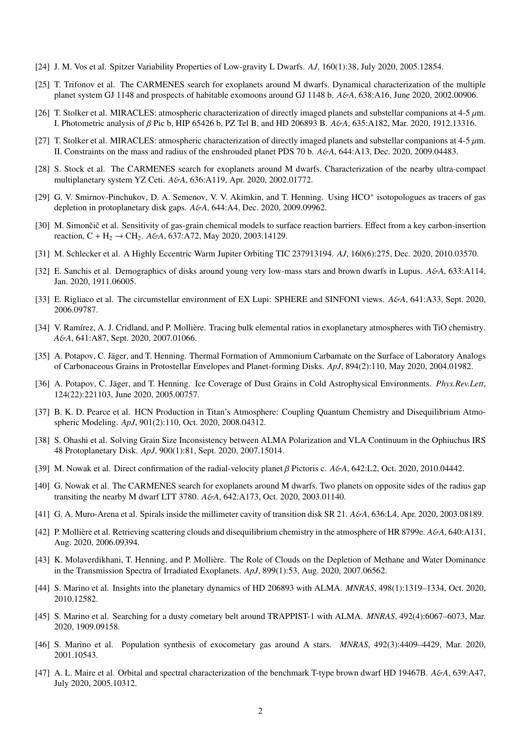- [24] J. M. Vos et al. Spitzer Variability Properties of Low-gravity L Dwarfs. *AJ*, 160(1):38, July 2020, 2005.12854.
- [25] T. Trifonov et al. The CARMENES search for exoplanets around M dwarfs. Dynamical characterization of the multiple planet system GJ 1148 and prospects of habitable exomoons around GJ 1148 b. *A*&*A*, 638:A16, June 2020, 2002.00906.
- [26] T. Stolker et al. MIRACLES: atmospheric characterization of directly imaged planets and substellar companions at 4-5  $\mu$ m. I. Photometric analysis of β Pic b, HIP 65426 b, PZ Tel B, and HD 206893 B. *<sup>A</sup>*&*A*, 635:A182, Mar. 2020, 1912.13316.
- [27] T. Stolker et al. MIRACLES: atmospheric characterization of directly imaged planets and substellar companions at 4-5  $\mu$ m. II. Constraints on the mass and radius of the enshrouded planet PDS 70 b. *A*&*A*, 644:A13, Dec. 2020, 2009.04483.
- [28] S. Stock et al. The CARMENES search for exoplanets around M dwarfs. Characterization of the nearby ultra-compact multiplanetary system YZ Ceti. *A*&*A*, 636:A119, Apr. 2020, 2002.01772.
- [29] G. V. Smirnov-Pinchukov, D. A. Semenov, V. V. Akimkin, and T. Henning. Using HCO<sup>+</sup> isotopologues as tracers of gas depletion in protoplanetary disk gaps. *A*&*A*, 644:A4, Dec. 2020, 2009.09962.
- [30] M. Simončič et al. Sensitivity of gas-grain chemical models to surface reaction barriers. Effect from a key carbon-insertion reaction, C + H<sup>2</sup> → CH2. *A*&*A*, 637:A72, May 2020, 2003.14129.
- [31] M. Schlecker et al. A Highly Eccentric Warm Jupiter Orbiting TIC 237913194. *AJ*, 160(6):275, Dec. 2020, 2010.03570.
- [32] E. Sanchis et al. Demographics of disks around young very low-mass stars and brown dwarfs in Lupus. *A*&*A*, 633:A114, Jan. 2020, 1911.06005.
- [33] E. Rigliaco et al. The circumstellar environment of EX Lupi: SPHERE and SINFONI views. *A*&*A*, 641:A33, Sept. 2020, 2006.09787.
- [34] V. Ramírez, A. J. Cridland, and P. Mollière. Tracing bulk elemental ratios in exoplanetary atmospheres with TiO chemistry. *A*&*A*, 641:A87, Sept. 2020, 2007.01066.
- [35] A. Potapov, C. Jäger, and T. Henning. Thermal Formation of Ammonium Carbamate on the Surface of Laboratory Analogs of Carbonaceous Grains in Protostellar Envelopes and Planet-forming Disks. *ApJ*, 894(2):110, May 2020, 2004.01982.
- [36] A. Potapov, C. Jäger, and T. Henning. Ice Coverage of Dust Grains in Cold Astrophysical Environments. *Phys.Rev.Lett*, 124(22):221103, June 2020, 2005.00757.
- [37] B. K. D. Pearce et al. HCN Production in Titan's Atmosphere: Coupling Quantum Chemistry and Disequilibrium Atmospheric Modeling. *ApJ*, 901(2):110, Oct. 2020, 2008.04312.
- [38] S. Ohashi et al. Solving Grain Size Inconsistency between ALMA Polarization and VLA Continuum in the Ophiuchus IRS 48 Protoplanetary Disk. *ApJ*, 900(1):81, Sept. 2020, 2007.15014.
- [39] M. Nowak et al. Direct confirmation of the radial-velocity planet β Pictoris c. *<sup>A</sup>*&*A*, 642:L2, Oct. 2020, 2010.04442.
- [40] G. Nowak et al. The CARMENES search for exoplanets around M dwarfs. Two planets on opposite sides of the radius gap transiting the nearby M dwarf LTT 3780. *A*&*A*, 642:A173, Oct. 2020, 2003.01140.
- [41] G. A. Muro-Arena et al. Spirals inside the millimeter cavity of transition disk SR 21. *A*&*A*, 636:L4, Apr. 2020, 2003.08189.
- [42] P. Mollière et al. Retrieving scattering clouds and disequilibrium chemistry in the atmosphere of HR 8799e.  $A\&A$ , 640:A131, Aug. 2020, 2006.09394.
- [43] K. Molaverdikhani, T. Henning, and P. Molliere. The Role of Clouds on the Depletion of Methane and Water Dominance ` in the Transmission Spectra of Irradiated Exoplanets. *ApJ*, 899(1):53, Aug. 2020, 2007.06562.
- [44] S. Marino et al. Insights into the planetary dynamics of HD 206893 with ALMA. *MNRAS*, 498(1):1319–1334, Oct. 2020, 2010.12582.
- [45] S. Marino et al. Searching for a dusty cometary belt around TRAPPIST-1 with ALMA. *MNRAS*, 492(4):6067–6073, Mar. 2020, 1909.09158.
- [46] S. Marino et al. Population synthesis of exocometary gas around A stars. *MNRAS*, 492(3):4409–4429, Mar. 2020, 2001.10543.
- [47] A. L. Maire et al. Orbital and spectral characterization of the benchmark T-type brown dwarf HD 19467B. *A*&*A*, 639:A47, July 2020, 2005.10312.